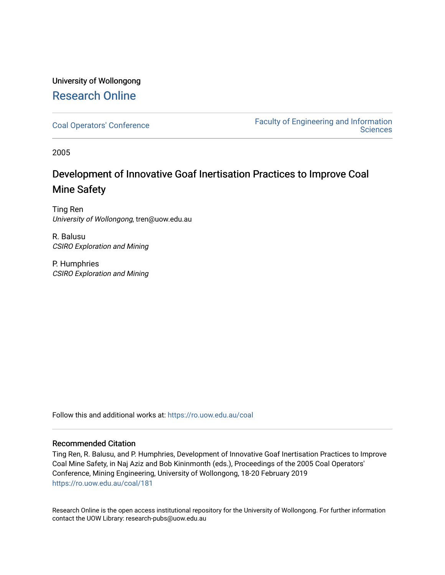## University of Wollongong [Research Online](https://ro.uow.edu.au/)

[Coal Operators' Conference](https://ro.uow.edu.au/coal) [Faculty of Engineering and Information](https://ro.uow.edu.au/eis)  **Sciences** 

2005

# Development of Innovative Goaf Inertisation Practices to Improve Coal Mine Safety

Ting Ren University of Wollongong, tren@uow.edu.au

R. Balusu CSIRO Exploration and Mining

P. Humphries CSIRO Exploration and Mining

Follow this and additional works at: [https://ro.uow.edu.au/coal](https://ro.uow.edu.au/coal?utm_source=ro.uow.edu.au%2Fcoal%2F181&utm_medium=PDF&utm_campaign=PDFCoverPages) 

### Recommended Citation

Ting Ren, R. Balusu, and P. Humphries, Development of Innovative Goaf Inertisation Practices to Improve Coal Mine Safety, in Naj Aziz and Bob Kininmonth (eds.), Proceedings of the 2005 Coal Operators' Conference, Mining Engineering, University of Wollongong, 18-20 February 2019 [https://ro.uow.edu.au/coal/181](https://ro.uow.edu.au/coal/181?utm_source=ro.uow.edu.au%2Fcoal%2F181&utm_medium=PDF&utm_campaign=PDFCoverPages) 

Research Online is the open access institutional repository for the University of Wollongong. For further information contact the UOW Library: research-pubs@uow.edu.au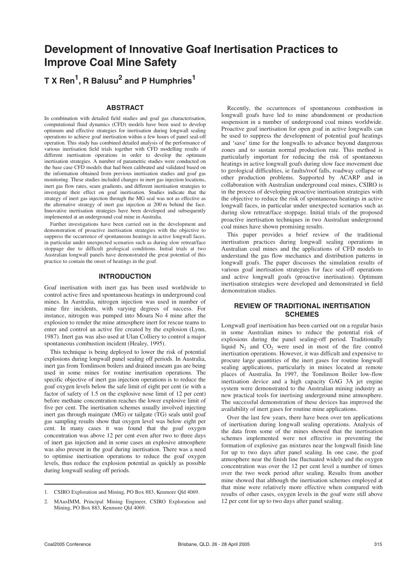# **Development of Innovative Goaf Inertisation Practices to Improve Coal Mine Safety**

### **T X Ren1 , R Balusu2 and P Humphries1**

#### **ABSTRACT**

In combination with detailed field studies and goaf gas characterisation, computational fluid dynamics (CFD) models have been used to develop optimum and effective strategies for inertisation during longwall sealing operations to achieve goaf inertisation within a few hours of panel seal-off operation. This study has combined detailed analysis of the performance of various inertisation field trials together with CFD modelling results of different inertisation operations in order to develop the optimum inertisation strategies. A number of parametric studies were conducted on the base case CFD models that had been calibrated and validated based on the information obtained from previous inertisation studies and goaf gas monitoring. These studies included changes in inert gas injection locations, inert gas flow rates, seam gradients, and different inertisation strategies to investigate their effect on goaf inertisation. Studies indicate that the strategy of inert gas injection through the MG seal was not as effective as the alternative strategy of inert gas injection at 200 m behind the face. Innovative inertisation strategies have been developed and subsequently implemented at an underground coal mine in Australia.

Further investigations have been carried out in the development and demonstration of proactive inertisation strategies with the objective to suppress the occurrence of spontaneous heatings in active longwall faces, in particular under unexpected scenarios such as during slow retreat/face stoppage due to difficult geological conditions. Initial trials at two Australian longwall panels have demonstrated the great potential of this practice to contain the onset of heatings in the goaf.

#### **INTRODUCTION**

Goaf inertisation with inert gas has been used worldwide to control active fires and spontaneous heatings in underground coal mines. In Australia, nitrogen injection was used in number of mine fire incidents, with varying degrees of success. For instance, nitrogen was pumped into Moura No 4 mine after the explosion to render the mine atmosphere inert for rescue teams to enter and control an active fire created by the explosion (Lynn, 1987). Inert gas was also used at Ulan Colliery to control a major spontaneous combustion incident (Healey, 1995).

This technique is being deployed to lower the risk of potential explosions during longwall panel sealing off periods. In Australia, inert gas from Tomlinson boilers and drained inseam gas are being used in some mines for routine inertisation operations. The specific objective of inert gas injection operations is to reduce the goaf oxygen levels below the safe limit of eight per cent (ie with a factor of safety of 1.5 on the explosive nose limit of 12 per cent) before methane concentration reaches the lower explosive limit of five per cent. The inertisation schemes usually involved injecting inert gas through maingate (MG) or tailgate (TG) seals until goaf gas sampling results show that oxygen level was below eight per cent. In many cases it was found that the goaf oxygen concentration was above 12 per cent even after two to three days of inert gas injection and in some cases an explosive atmosphere was also present in the goaf during inertisation. There was a need to optimise inertisation operations to reduce the goaf oxygen levels, thus reduce the explosion potential as quickly as possible during longwall sealing off periods.

Recently, the occurrences of spontaneous combustion in longwall goafs have led to mine abandonment or production suspension in a number of underground coal mines worldwide. Proactive goaf inertisation for open goaf in active longwalls can be used to suppress the development of potential goaf heatings and 'save' time for the longwalls to advance beyond dangerous zones and to sustain normal production rate. This method is particularly important for reducing the risk of spontaneous heatings in active longwall goafs during slow face movement due to geological difficulties, ie faults/roof falls, roadway collapse or other production problems. Supported by ACARP and in collaboration with Australian underground coal mines, CSIRO is in the process of developing proactive inertisation strategies with the objective to reduce the risk of spontaneous heatings in active longwall faces, in particular under unexpected scenarios such as during slow retreat/face stoppage. Initial trials of the proposed proactive inertisation techniques in two Australian underground coal mines have shown promising results.

This paper provides a brief review of the traditional inertisation practices during longwall sealing operations in Australian coal mines and the applications of CFD models to understand the gas flow mechanics and distribution patterns in longwall goafs. The paper discusses the simulation results of various goaf inertisation strategies for face seal-off operations and active longwall goafs (proactive inertisation). Optimum inertisation strategies were developed and demonstrated in field demonstration studies.

#### **REVIEW OF TRADITIONAL INERTISATION SCHEMES**

Longwall goaf inertisation has been carried out on a regular basis in some Australian mines to reduce the potential risk of explosions during the panel sealing-off period. Traditionally liquid  $N_2$  and  $CO_2$  were used in most of the fire control inertisation operations. However, it was difficult and expensive to procure large quantities of the inert gases for routine longwall sealing applications, particularly in mines located at remote places of Australia. In 1997, the Tomlinson Boiler low-flow inertisation device and a high capacity GAG 3A jet engine system were demonstrated to the Australian mining industry as new practical tools for inertising underground mine atmosphere. The successful demonstration of these devices has improved the availability of inert gases for routine mine applications.

Over the last few years, there have been over ten applications of inertisation during longwall sealing operations. Analysis of the data from some of the mines showed that the inertisation schemes implemented were not effective in preventing the formation of explosive gas mixtures near the longwall finish line for up to two days after panel sealing. In one case, the goaf atmosphere near the finish line fluctuated widely and the oxygen concentration was over the 12 per cent level a number of times over the two week period after sealing. Results from another mine showed that although the inertisation schemes employed at that mine were relatively more effective when compared with results of other cases, oxygen levels in the goaf were still above 12 per cent for up to two days after panel sealing.

<sup>1.</sup> CSIRO Exploration and Mining, PO Box 883, Kenmore Qld 4069.

<sup>2.</sup> MAusIMM, Principal Mining Engineer, CSIRO Exploration and Mining, PO Box 883, Kenmore Qld 4069.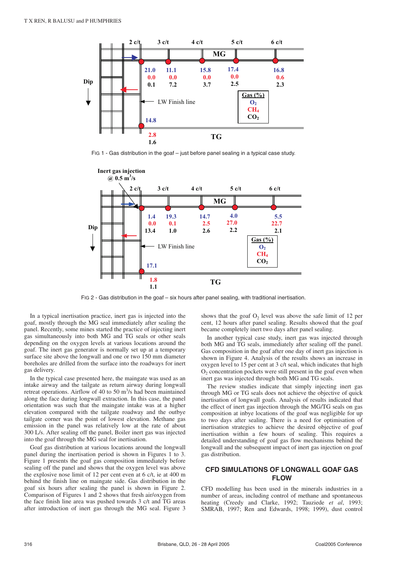

FIG 1 - Gas distribution in the goaf – just before panel sealing in a typical case study.



FIG 2 - Gas distribution in the goaf – six hours after panel sealing, with traditional inertisation.

In a typical inertisation practice, inert gas is injected into the goaf, mostly through the MG seal immediately after sealing the panel. Recently, some mines started the practice of injecting inert gas simultaneously into both MG and TG seals or other seals depending on the oxygen levels at various locations around the goaf. The inert gas generator is normally set up at a temporary surface site above the longwall and one or two 150 mm diameter boreholes are drilled from the surface into the roadways for inert gas delivery.

In the typical case presented here, the maingate was used as an intake airway and the tailgate as return airway during longwall retreat operations. Airflow of 40 to 50 m<sup>3</sup>/s had been maintained along the face during longwall extraction. In this case, the panel orientation was such that the maingate intake was at a higher elevation compared with the tailgate roadway and the outbye tailgate corner was the point of lowest elevation. Methane gas emission in the panel was relatively low at the rate of about 300 L/s. After sealing off the panel, Boiler inert gas was injected into the goaf through the MG seal for inertisation.

Goaf gas distribution at various locations around the longwall panel during the inertisation period is shown in Figures 1 to 3. Figure 1 presents the goaf gas composition immediately before sealing off the panel and shows that the oxygen level was above the explosive nose limit of 12 per cent even at 6 c/t, ie at 400 m behind the finish line on maingate side. Gas distribution in the goaf six hours after sealing the panel is shown in Figure 2. Comparison of Figures 1 and 2 shows that fresh air/oxygen from the face finish line area was pushed towards 3 c/t and TG areas after introduction of inert gas through the MG seal. Figure 3

shows that the goaf  $O<sub>2</sub>$  level was above the safe limit of 12 per cent, 12 hours after panel sealing. Results showed that the goaf became completely inert two days after panel sealing.

In another typical case study, inert gas was injected through both MG and TG seals, immediately after sealing off the panel. Gas composition in the goaf after one day of inert gas injection is shown in Figure 4. Analysis of the results shows an increase in oxygen level to 15 per cent at 3 c/t seal, which indicates that high  $O<sub>2</sub>$  concentration pockets were still present in the goaf even when inert gas was injected through both MG and TG seals.

The review studies indicate that simply injecting inert gas through MG or TG seals does not achieve the objective of quick inertisation of longwall goafs. Analysis of results indicated that the effect of inert gas injection through the MG/TG seals on gas composition at inbye locations of the goaf was negligible for up to two days after sealing. There is a need for optimisation of inertisation strategies to achieve the desired objective of goaf inertisation within a few hours of sealing. This requires a detailed understanding of goaf gas flow mechanisms behind the longwall and the subsequent impact of inert gas injection on goaf gas distribution.

#### **CFD SIMULATIONS OF LONGWALL GOAF GAS FLOW**

CFD modelling has been used in the minerals industries in a number of areas, including control of methane and spontaneous heating (Creedy and Clarke, 1992; Tauziede *et al*, 1993; SMRAB, 1997; Ren and Edwards, 1998; 1999), dust control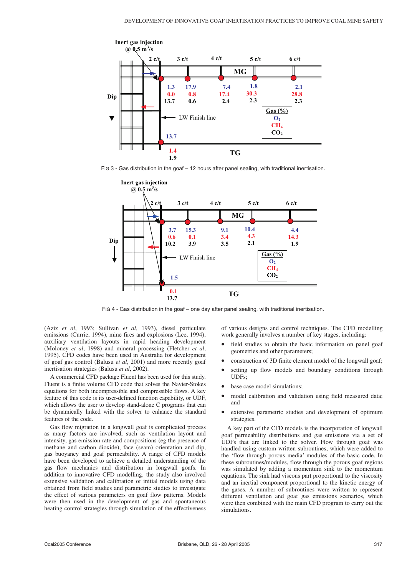

FIG 3 - Gas distribution in the goaf – 12 hours after panel sealing, with traditional inertisation.



FIG 4 - Gas distribution in the goaf – one day after panel sealing, with traditional inertisation.

(Aziz *et al*, 1993; Sullivan *et al*, 1993), diesel particulate emissions (Currie, 1994), mine fires and explosions (Lee, 1994), auxiliary ventilation layouts in rapid heading development (Moloney *et al*, 1998) and mineral processing (Fletcher *et al*, 1995). CFD codes have been used in Australia for development of goaf gas control (Balusu *et al*, 2001) and more recently goaf inertisation strategies (Balusu *et al*, 2002).

A commercial CFD package Fluent has been used for this study. Fluent is a finite volume CFD code that solves the Navier-Stokes equations for both incompressible and compressible flows. A key feature of this code is its user-defined function capability, or UDF, which allows the user to develop stand-alone C programs that can be dynamically linked with the solver to enhance the standard features of the code.

Gas flow migration in a longwall goaf is complicated process as many factors are involved, such as ventilation layout and intensity, gas emission rate and compositions (eg the presence of methane and carbon dioxide), face (seam) orientation and dip, gas buoyancy and goaf permeability. A range of CFD models have been developed to achieve a detailed understanding of the gas flow mechanics and distribution in longwall goafs. In addition to innovative CFD modelling, the study also involved extensive validation and calibration of initial models using data obtained from field studies and parametric studies to investigate the effect of various parameters on goaf flow patterns. Models were then used in the development of gas and spontaneous heating control strategies through simulation of the effectiveness of various designs and control techniques. The CFD modelling work generally involves a number of key stages, including:

- field studies to obtain the basic information on panel goaf geometries and other parameters;
- construction of 3D finite element model of the longwall goaf;
- setting up flow models and boundary conditions through UDFs;
- base case model simulations;
- model calibration and validation using field measured data; and
- extensive parametric studies and development of optimum strategies.

A key part of the CFD models is the incorporation of longwall goaf permeability distributions and gas emissions via a set of UDFs that are linked to the solver. Flow through goaf was handled using custom written subroutines, which were added to the 'flow through porous media' modules of the basic code. In these subroutines/modules, flow through the porous goaf regions was simulated by adding a momentum sink to the momentum equations. The sink had viscous part proportional to the viscosity and an inertial component proportional to the kinetic energy of the gases. A number of subroutines were written to represent different ventilation and goaf gas emissions scenarios, which were then combined with the main CFD program to carry out the simulations.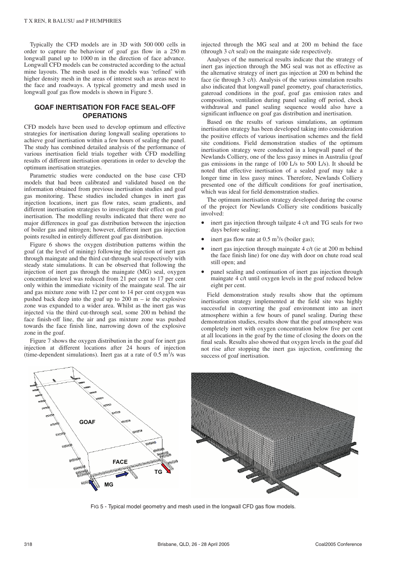Typically the CFD models are in 3D with 500 000 cells in order to capture the behaviour of goaf gas flow in a 250 m longwall panel up to 1000 m in the direction of face advance. Longwall CFD models can be constructed according to the actual mine layouts. The mesh used in the models was 'refined' with higher density mesh in the areas of interest such as areas next to the face and roadways. A typical geometry and mesh used in longwall goaf gas flow models is shown in Figure 5.

#### **GOAF INERTISATION FOR FACE SEAL-OFF OPERATIONS**

CFD models have been used to develop optimum and effective strategies for inertisation during longwall sealing operations to achieve goaf inertisation within a few hours of sealing the panel. The study has combined detailed analysis of the performance of various inertisation field trials together with CFD modelling results of different inertisation operations in order to develop the optimum inertisation strategies.

Parametric studies were conducted on the base case CFD models that had been calibrated and validated based on the information obtained from previous inertisation studies and goaf gas monitoring. These studies included changes in inert gas injection locations, inert gas flow rates, seam gradients, and different inertisation strategies to investigate their effect on goaf inertisation. The modelling results indicated that there were no major differences in goaf gas distribution between the injection of boiler gas and nitrogen; however, different inert gas injection points resulted in entirely different goaf gas distribution.

Figure 6 shows the oxygen distribution patterns within the goaf (at the level of mining) following the injection of inert gas through maingate and the third cut-through seal respectively with steady state simulations. It can be observed that following the injection of inert gas through the maingate (MG) seal, oxygen concentration level was reduced from 21 per cent to 17 per cent only within the immediate vicinity of the maingate seal. The air and gas mixture zone with 12 per cent to 14 per cent oxygen was pushed back deep into the goaf up to  $200 \text{ m}$  – ie the explosive zone was expanded to a wider area. Whilst as the inert gas was injected via the third cut-through seal, some 200 m behind the face finish-off line, the air and gas mixture zone was pushed towards the face finish line, narrowing down of the explosive zone in the goaf.

Figure 7 shows the oxygen distribution in the goaf for inert gas injection at different locations after 24 hours of injection (time-dependent simulations). Inert gas at a rate of  $0.5 \text{ m}^3\text{/s}$  was

injected through the MG seal and at 200 m behind the face (through 3 c/t seal) on the maingate side respectively.

Analyses of the numerical results indicate that the strategy of inert gas injection through the MG seal was not as effective as the alternative strategy of inert gas injection at 200 m behind the face (ie through 3 c/t). Analysis of the various simulation results also indicated that longwall panel geometry, goaf characteristics, gateroad conditions in the goaf, goaf gas emission rates and composition, ventilation during panel sealing off period, chock withdrawal and panel sealing sequence would also have a significant influence on goaf gas distribution and inertisation.

Based on the results of various simulations, an optimum inertisation strategy has been developed taking into consideration the positive effects of various inertisation schemes and the field site conditions. Field demonstration studies of the optimum inertisation strategy were conducted in a longwall panel of the Newlands Colliery, one of the less gassy mines in Australia (goaf gas emissions in the range of 100 L/s to 500 L/s). It should be noted that effective inertisation of a sealed goaf may take a longer time in less gassy mines. Therefore, Newlands Colliery presented one of the difficult conditions for goaf inertisation, which was ideal for field demonstration studies.

The optimum inertisation strategy developed during the course of the project for Newlands Colliery site conditions basically involved:

- inert gas injection through tailgate 4 c/t and TG seals for two days before sealing;
- inert gas flow rate at  $0.5 \text{ m}^3\text{/s}$  (boiler gas);
- inert gas injection through maingate 4 c/t (ie at 200 m behind the face finish line) for one day with door on chute road seal still open; and
- panel sealing and continuation of inert gas injection through maingate 4 c/t until oxygen levels in the goaf reduced below eight per cent.

Field demonstration study results show that the optimum inertisation strategy implemented at the field site was highly successful in converting the goaf environment into an inert atmosphere within a few hours of panel sealing. During these demonstration studies, results show that the goaf atmosphere was completely inert with oxygen concentration below five per cent at all locations in the goaf by the time of closing the doors on the final seals. Results also showed that oxygen levels in the goaf did not rise after stopping the inert gas injection, confirming the success of goaf inertisation.



FIG 5 - Typical model geometry and mesh used in the longwall CFD gas flow models.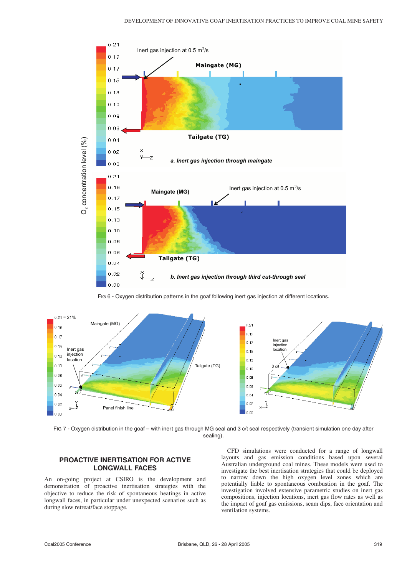

FIG 6 - Oxygen distribution patterns in the goaf following inert gas injection at different locations.



FIG 7 - Oxygen distribution in the goaf – with inert gas through MG seal and 3 c/t seal respectively (transient simulation one day after sealing).

### **PROACTIVE INERTISATION FOR ACTIVE LONGWALL FACES**

An on-going project at CSIRO is the development and demonstration of proactive inertisation strategies with the objective to reduce the risk of spontaneous heatings in active longwall faces, in particular under unexpected scenarios such as during slow retreat/face stoppage.

CFD simulations were conducted for a range of longwall layouts and gas emission conditions based upon several Australian underground coal mines. These models were used to investigate the best inertisation strategies that could be deployed to narrow down the high oxygen level zones which are potentially liable to spontaneous combustion in the goaf. The investigation involved extensive parametric studies on inert gas compositions, injection locations, inert gas flow rates as well as the impact of goaf gas emissions, seam dips, face orientation and ventilation systems.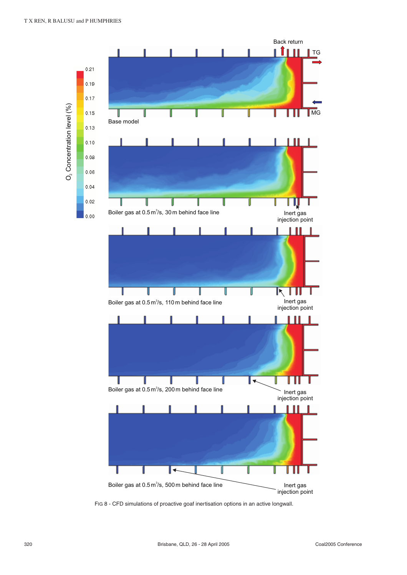

FIG 8 - CFD simulations of proactive goaf inertisation options in an active longwall.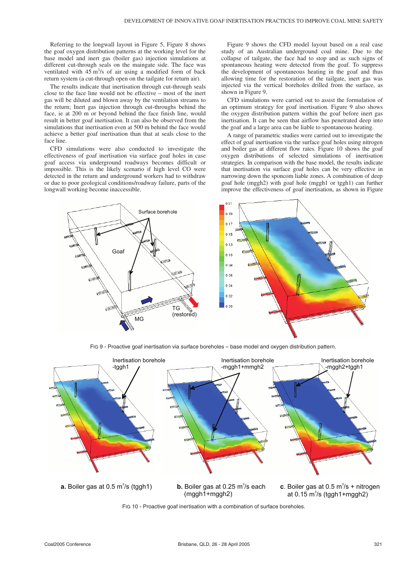Referring to the longwall layout in Figure 5, Figure 8 shows the goaf oxygen distribution patterns at the working level for the base model and inert gas (boiler gas) injection simulations at different cut-through seals on the maingate side. The face was ventilated with  $45 \text{ m}^3\text{/s}$  of air using a modified form of back return system (a cut-through open on the tailgate for return air).

The results indicate that inertisation through cut-through seals close to the face line would not be effective – most of the inert gas will be diluted and blown away by the ventilation streams to the return; Inert gas injection through cut-throughs behind the face, ie at 200 m or beyond behind the face finish line, would result in better goaf inertisation. It can also be observed from the simulations that inertisation even at 500 m behind the face would achieve a better goaf inertisation than that at seals close to the face line.

CFD simulations were also conducted to investigate the effectiveness of goaf inertisation via surface goaf holes in case goaf access via underground roadways becomes difficult or impossible. This is the likely scenario if high level CO were detected in the return and underground workers had to withdraw or due to poor geological conditions/roadway failure, parts of the longwall working become inaccessible.

Figure 9 shows the CFD model layout based on a real case study of an Australian underground coal mine. Due to the collapse of tailgate, the face had to stop and as such signs of spontaneous heating were detected from the goaf. To suppress the development of spontaneous heating in the goaf and thus allowing time for the restoration of the tailgate, inert gas was injected via the vertical boreholes drilled from the surface, as shown in Figure 9.

CFD simulations were carried out to assist the formulation of an optimum strategy for goaf inertisation. Figure 9 also shows the oxygen distribution pattern within the goaf before inert gas inertisation. It can be seen that airflow has penetrated deep into the goaf and a large area can be liable to spontaneous heating.

A range of parametric studies were carried out to investigate the effect of goaf inertisation via the surface goaf holes using nitrogen and boiler gas at different flow rates. Figure 10 shows the goaf oxygen distributions of selected simulations of inertisation strategies. In comparison with the base model, the results indicate that inertisation via surface goaf holes can be very effective in narrowing down the sponcom liable zones. A combination of deep goaf hole (mggh2) with goaf hole (mggh1 or tggh1) can further improve the effectiveness of goaf inertisation, as shown in Figure



FIG 9 - Proactive goaf inertisation via surface boreholes – base model and oxygen distribution pattern.



FIG 10 - Proactive goaf inertisation with a combination of surface boreholes.